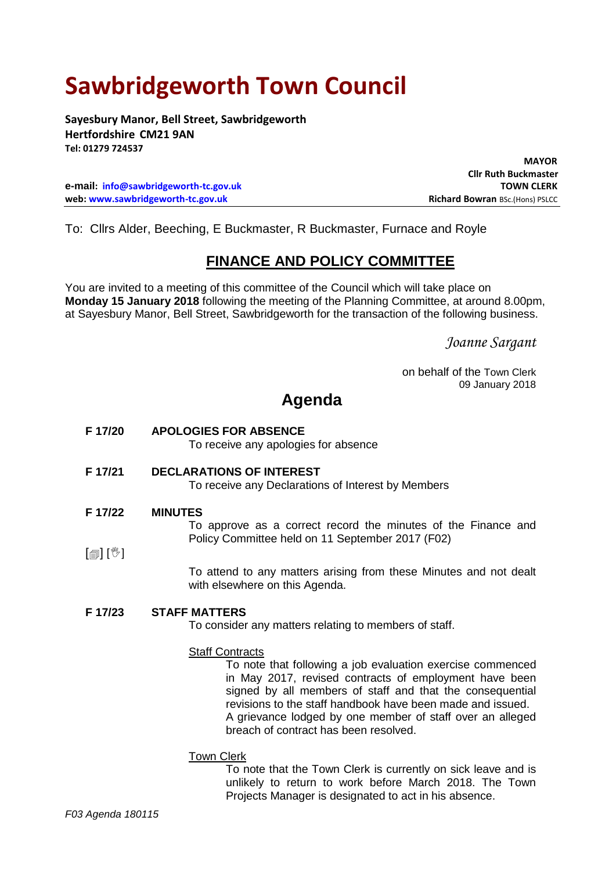# **Sawbridgeworth Town Council**

**Sayesbury Manor, Bell Street, Sawbridgeworth Hertfordshire CM21 9AN Tel: 01279 724537**

**e-mail: [info@sawbridgeworth-tc.gov.uk](mailto:info@sawbridgeworth-tc.gov.uk) TOWN CLERK web: www.sawbridgeworth-tc.gov.uk Richard Bowran BSc.(Hons) PSLCC Richard Bowran BSc.(Hons) PSLCC** 

 **MAYOR Cllr Ruth Buckmaster**

To: Cllrs Alder, Beeching, E Buckmaster, R Buckmaster, Furnace and Royle

### **FINANCE AND POLICY COMMITTEE**

You are invited to a meeting of this committee of the Council which will take place on **Monday 15 January 2018** following the meeting of the Planning Committee, at around 8.00pm, at Sayesbury Manor, Bell Street, Sawbridgeworth for the transaction of the following business.

*Joanne Sargant*

on behalf of the Town Clerk 09 January 2018

## **Agenda**

- **F 17/20 APOLOGIES FOR ABSENCE** To receive any apologies for absence **F 17/21 DECLARATIONS OF INTEREST**
	- To receive any Declarations of Interest by Members
- **F 17/22 MINUTES**

To approve as a correct record the minutes of the Finance and Policy Committee held on 11 September 2017 (F02)

 $\lceil \frac{m}{2} \rceil$   $\lceil \frac{m}{2} \rceil$ 

To attend to any matters arising from these Minutes and not dealt with elsewhere on this Agenda.

#### **F 17/23 STAFF MATTERS**

To consider any matters relating to members of staff.

#### Staff Contracts

To note that following a job evaluation exercise commenced in May 2017, revised contracts of employment have been signed by all members of staff and that the consequential revisions to the staff handbook have been made and issued. A grievance lodged by one member of staff over an alleged breach of contract has been resolved.

Town Clerk

To note that the Town Clerk is currently on sick leave and is unlikely to return to work before March 2018. The Town Projects Manager is designated to act in his absence.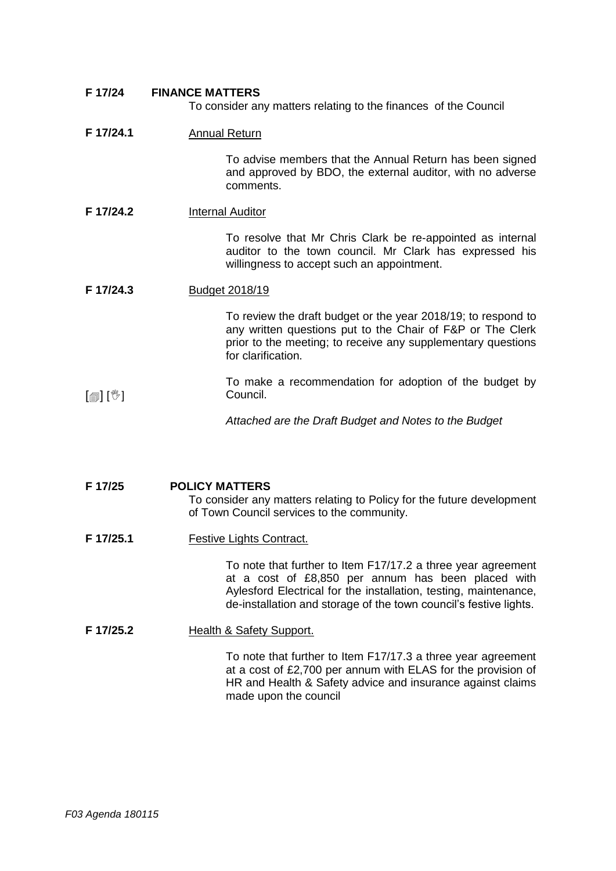| F 17/24   | <b>FINANCE MATTERS</b><br>To consider any matters relating to the finances of the Council                                                                                                                                                                   |
|-----------|-------------------------------------------------------------------------------------------------------------------------------------------------------------------------------------------------------------------------------------------------------------|
| F 17/24.1 | <b>Annual Return</b>                                                                                                                                                                                                                                        |
|           | To advise members that the Annual Return has been signed<br>and approved by BDO, the external auditor, with no adverse<br>comments.                                                                                                                         |
| F 17/24.2 | <b>Internal Auditor</b>                                                                                                                                                                                                                                     |
|           | To resolve that Mr Chris Clark be re-appointed as internal<br>auditor to the town council. Mr Clark has expressed his<br>willingness to accept such an appointment.                                                                                         |
| F 17/24.3 | <b>Budget 2018/19</b>                                                                                                                                                                                                                                       |
|           | To review the draft budget or the year 2018/19; to respond to<br>any written questions put to the Chair of F&P or The Clerk<br>prior to the meeting; to receive any supplementary questions<br>for clarification.                                           |
| [@][*)    | To make a recommendation for adoption of the budget by<br>Council.                                                                                                                                                                                          |
|           | Attached are the Draft Budget and Notes to the Budget                                                                                                                                                                                                       |
|           |                                                                                                                                                                                                                                                             |
| F 17/25   | <b>POLICY MATTERS</b><br>To consider any matters relating to Policy for the future development<br>of Town Council services to the community.                                                                                                                |
| F 17/25.1 | <b>Festive Lights Contract.</b>                                                                                                                                                                                                                             |
|           | To note that further to Item F17/17.2 a three year agreement<br>at a cost of £8,850 per annum has been placed with<br>Aylesford Electrical for the installation, testing, maintenance,<br>de-installation and storage of the town council's festive lights. |
| F 17/25.2 | <b>Health &amp; Safety Support.</b>                                                                                                                                                                                                                         |
|           |                                                                                                                                                                                                                                                             |

To note that further to Item F17/17.3 a three year agreement at a cost of £2,700 per annum with ELAS for the provision of HR and Health & Safety advice and insurance against claims made upon the council